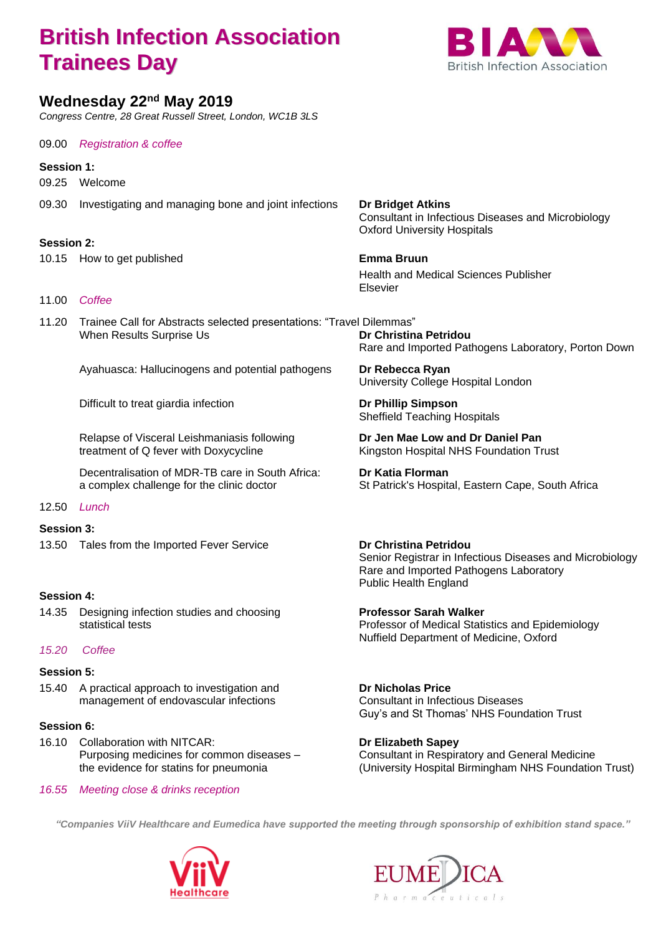# **British Infection Association Trainees Day**



## **Wednesday 22nd May 2019**

*Congress Centre, 28 Great Russell Street, London, WC1B 3LS*

09.00 *Registration & coffee*

## **Session 1:**

09.25 Welcome

09.30 Investigating and managing bone and joint infections **Dr Bridget Atkins**

## **Session 2:**

10.15 How to get published **Emma Bruun**

11.00 *Coffee*

11.20 Trainee Call for Abstracts selected presentations: "Travel Dilemmas" When Results Surprise Us **Dr Christina Petridou**

Ayahuasca: Hallucinogens and potential pathogens **Dr Rebecca Ryan**

Difficult to treat giardia infection **Dr Phillip Simpson**

Relapse of Visceral Leishmaniasis following **Dr Jen Mae Low and Dr Daniel Pan** treatment of Q fever with Doxycycline Kingston Hospital NHS Foundation Trust

Decentralisation of MDR-TB care in South Africa: **Dr Katia Florman** a complex challenge for the clinic doctor St Patrick's Hospital, Eastern Cape, South Africa

12.50 *Lunch*

### **Session 3:**

13.50 Tales from the Imported Fever Service **Dr Christina Petridou** 

### **Session 4:**

14.35 Designing infection studies and choosing **Professor Sarah Walker**

### *15.20 Coffee*

#### **Session 5:**

15.40 A practical approach to investigation and **Dr Nicholas Price** management of endovascular infections The Consultant in Infectious Diseases

### **Session 6:**

16.10 Collaboration with NITCAR: **Dr Elizabeth Sapey**

*16.55 Meeting close & drinks reception*

Consultant in Infectious Diseases and Microbiology Oxford University Hospitals

Health and Medical Sciences Publisher Elsevier

Rare and Imported Pathogens Laboratory, Porton Down

University College Hospital London

Sheffield Teaching Hospitals

Senior Registrar in Infectious Diseases and Microbiology Rare and Imported Pathogens Laboratory Public Health England

statistical tests Professor of Medical Statistics and Epidemiology Nuffield Department of Medicine, Oxford

Guy's and St Thomas' NHS Foundation Trust

Purposing medicines for common diseases – Consultant in Respiratory and General Medicine the evidence for statins for pneumonia (University Hospital Birmingham NHS Foundation Trust)

*"Companies ViiV Healthcare and Eumedica have supported the meeting through sponsorship of exhibition stand space."*